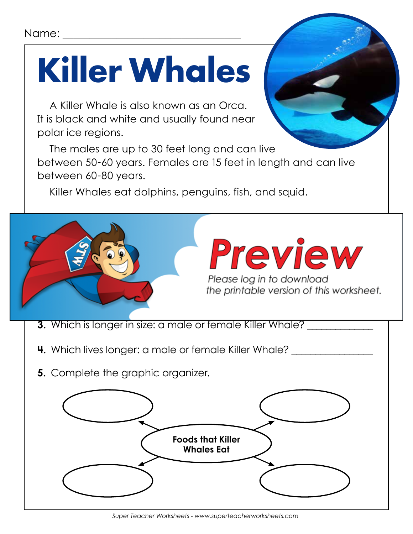## Name:

## **Killer Whales**

A Killer Whale is also known as an Orca. It is black and white and usually found near polar ice regions.

The males are up to 30 feet long and can live between 50-60 years. Females are 15 feet in length and can live between 60-80 years.

Killer Whales eat dolphins, penguins, fish, and squid.